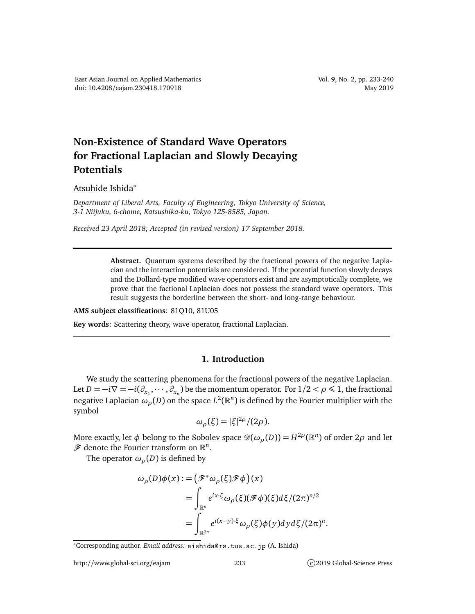## **Non-Existence of Standard Wave Operators for Fractional Laplacian and Slowly Decaying Potentials**

Atsuhide Ishida<sup>∗</sup>

*Department of Liberal Arts, Faculty of Engineering, Tokyo University of Science, 3-1 Niijuku, 6-chome, Katsushika-ku, Tokyo 125-8585, Japan.*

*Received 23 April 2018; Accepted (in revised version) 17 September 2018.*

**Abstract.** Quantum systems described by the fractional powers of the negative Laplacian and the interaction potentials are considered. If the potential function slowly decays and the Dollard-type modified wave operators exist and are asymptotically complete, we prove that the factional Laplacian does not possess the standard wave operators. This result suggests the borderline between the short- and long-range behaviour.

**AMS subject classifications**: 81Q10, 81U05

**Key words**: Scattering theory, wave operator, fractional Laplacian.

## **1. Introduction**

We study the scattering phenomena for the fractional powers of the negative Laplacian. Let  $D = -i\nabla = -i(\partial_{x_1}, \cdots, \partial_{x_n})$  be the momentum operator. For  $1/2 < \rho \leq 1$ , the fractional negative Laplacian  $\omega_\rho(D)$  on the space  $L^2(\mathbb{R}^n)$  is defined by the Fourier multiplier with the symbol

$$
\omega_{\rho}(\xi) = |\xi|^{2\rho}/(2\rho).
$$

More exactly, let  $\phi$  belong to the Sobolev space  $\mathscr{D}(\omega_\rho(D))$   $=$   $H^{2\rho}(\mathbb{R}^n)$  of order 2 $\rho$  and let  $\mathscr F$  denote the Fourier transform on  $\mathbb R^n$ .

The operator  $\omega_{\rho}(D)$  is defined by

$$
\omega_{\rho}(D)\phi(x) := (\mathscr{F}^*\omega_{\rho}(\xi)\mathscr{F}\phi)(x)
$$
  
= 
$$
\int_{\mathbb{R}^n} e^{ix\cdot\xi} \omega_{\rho}(\xi)(\mathscr{F}\phi)(\xi)d\xi/(2\pi)^{n/2}
$$
  
= 
$$
\int_{\mathbb{R}^{2n}} e^{i(x-y)\cdot\xi} \omega_{\rho}(\xi)\phi(y)dyd\xi/(2\pi)^n.
$$

<sup>\*</sup>Corresponding author. *Email address*: aishida@rs.tus.ac.jp (A. Ishida)